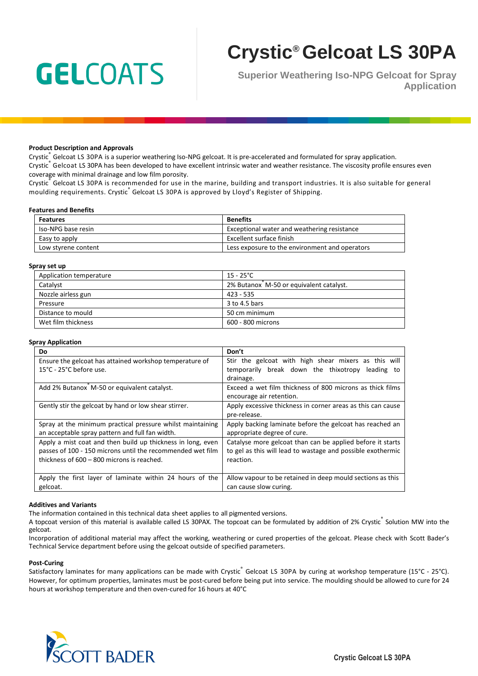# **GELCOATS**

# **Crystic® Gelcoat LS 30PA**

**Superior Weathering Iso-NPG Gelcoat for Spray Application**

#### **Product Description and Approvals**

Crystic<sub>®</sub> Gelcoat LS 30PA is a superior weathering Iso-NPG gelcoat. It is pre-accelerated and formulated for spray application. Crystic<sup>®</sup> Gelcoat LS 30PA has been developed to have excellent intrinsic water and weather resistance. The viscosity profile ensures even coverage with minimal drainage and low film porosity.

Crystic® Gelcoat LS 30PA is recommended for use in the marine, building and transport industries. It is also suitable for general moulding requirements. Crystic ဳGelcoat LS 30PA is approved by Lloyd's Register of Shipping.

#### **Features and Benefits**

| <b>Features</b>     | <b>Benefits</b>                                |
|---------------------|------------------------------------------------|
| Iso-NPG base resin  | Exceptional water and weathering resistance    |
| Easy to apply       | Excellent surface finish                       |
| Low styrene content | Less exposure to the environment and operators |

#### **Spray set up**

| Application temperature | $15 - 25^{\circ}$ C                     |
|-------------------------|-----------------------------------------|
| Catalyst                | 2% Butanox M-50 or equivalent catalyst. |
| Nozzle airless gun      | $423 - 535$                             |
| Pressure                | 3 to 4.5 bars                           |
| Distance to mould       | 50 cm minimum                           |
| Wet film thickness      | 600 - 800 microns                       |

#### **Spray Application**

| Do                                                                                                                                                                      | Don't                                                                                                                                  |  |
|-------------------------------------------------------------------------------------------------------------------------------------------------------------------------|----------------------------------------------------------------------------------------------------------------------------------------|--|
| Ensure the gelcoat has attained workshop temperature of<br>$15^{\circ}$ C - 25 $^{\circ}$ C before use.                                                                 | Stir the gelcoat with high shear mixers as this will<br>temporarily break down the thixotropy<br>leading to<br>drainage.               |  |
| Add 2% Butanox M-50 or equivalent catalyst.                                                                                                                             | Exceed a wet film thickness of 800 microns as thick films<br>encourage air retention.                                                  |  |
| Gently stir the gelcoat by hand or low shear stirrer.                                                                                                                   | Apply excessive thickness in corner areas as this can cause<br>pre-release.                                                            |  |
| Spray at the minimum practical pressure whilst maintaining<br>an acceptable spray pattern and full fan width.                                                           | Apply backing laminate before the gelcoat has reached an<br>appropriate degree of cure.                                                |  |
| Apply a mist coat and then build up thickness in long, even<br>passes of 100 - 150 microns until the recommended wet film<br>thickness of 600 - 800 microns is reached. | Catalyse more gelcoat than can be applied before it starts<br>to gel as this will lead to wastage and possible exothermic<br>reaction. |  |
| Apply the first layer of laminate within 24 hours of the<br>gelcoat.                                                                                                    | Allow vapour to be retained in deep mould sections as this<br>can cause slow curing.                                                   |  |

#### **Additives and Variants**

The information contained in this technical data sheet applies to all pigmented versions.

A topcoat version of this material is available called LS 30PAX. The topcoat can be formulated by addition of 2% Crystic Solution MW into the gelcoat.

Incorporation of additional material may affect the working, weathering or cured properties of the gelcoat. Please check with Scott Bader's Technical Service department before using the gelcoat outside of specified parameters.

#### **Post-Curing**

Satisfactory laminates for many applications can be made with Crystic<sup>®</sup> Gelcoat LS 30PA by curing at workshop temperature (15°C - 25°C). However, for optimum properties, laminates must be post-cured before being put into service. The moulding should be allowed to cure for 24 hours at workshop temperature and then oven-cured for 16 hours at 40°C